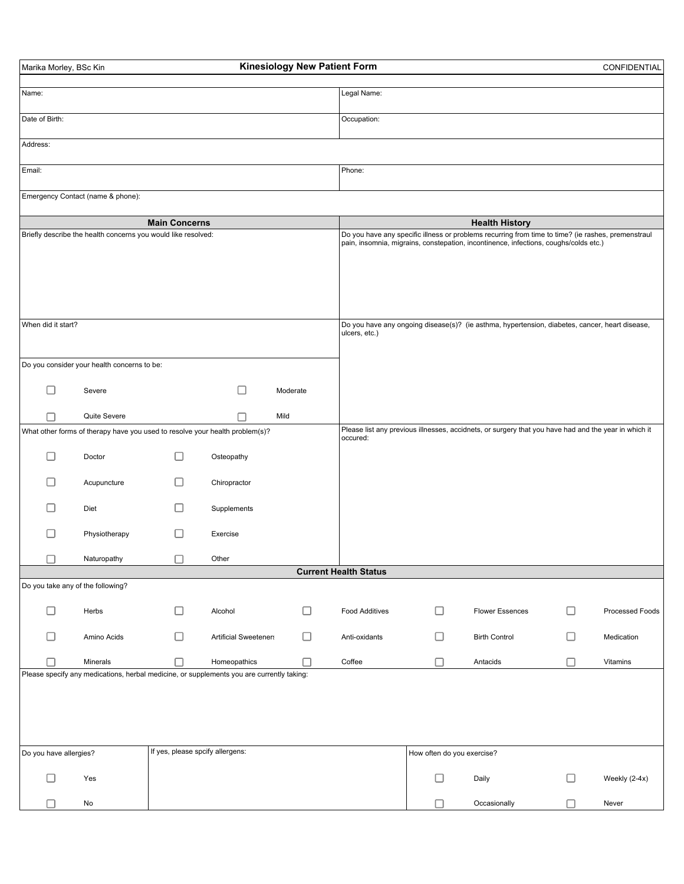| Marika Morley, BSc Kin                                                                |                                                                              |                                  |                                                                                           | <b>Kinesiology New Patient Form</b> |                                                                                                                                                                                            |   |                                                                                                      |   | CONFIDENTIAL    |  |
|---------------------------------------------------------------------------------------|------------------------------------------------------------------------------|----------------------------------|-------------------------------------------------------------------------------------------|-------------------------------------|--------------------------------------------------------------------------------------------------------------------------------------------------------------------------------------------|---|------------------------------------------------------------------------------------------------------|---|-----------------|--|
| Name:                                                                                 |                                                                              |                                  |                                                                                           |                                     | Legal Name:                                                                                                                                                                                |   |                                                                                                      |   |                 |  |
| Date of Birth:                                                                        |                                                                              |                                  |                                                                                           |                                     | Occupation:                                                                                                                                                                                |   |                                                                                                      |   |                 |  |
| Address:                                                                              |                                                                              |                                  |                                                                                           |                                     |                                                                                                                                                                                            |   |                                                                                                      |   |                 |  |
| Email:                                                                                |                                                                              |                                  |                                                                                           |                                     | Phone:                                                                                                                                                                                     |   |                                                                                                      |   |                 |  |
|                                                                                       | Emergency Contact (name & phone):                                            |                                  |                                                                                           |                                     |                                                                                                                                                                                            |   |                                                                                                      |   |                 |  |
|                                                                                       |                                                                              |                                  |                                                                                           |                                     |                                                                                                                                                                                            |   | <b>Health History</b>                                                                                |   |                 |  |
| <b>Main Concerns</b><br>Briefly describe the health concerns you would like resolved: |                                                                              |                                  |                                                                                           |                                     | Do you have any specific illness or problems recurring from time to time? (ie rashes, premenstraul<br>pain, insomnia, migrains, constepation, incontinence, infections, coughs/colds etc.) |   |                                                                                                      |   |                 |  |
| When did it start?                                                                    |                                                                              |                                  |                                                                                           |                                     | ulcers, etc.)                                                                                                                                                                              |   | Do you have any ongoing disease(s)? (ie asthma, hypertension, diabetes, cancer, heart disease,       |   |                 |  |
|                                                                                       | Do you consider your health concerns to be:                                  |                                  |                                                                                           |                                     |                                                                                                                                                                                            |   |                                                                                                      |   |                 |  |
| П                                                                                     | Severe                                                                       |                                  | Ш                                                                                         | Moderate                            |                                                                                                                                                                                            |   |                                                                                                      |   |                 |  |
| □                                                                                     | Quite Severe                                                                 |                                  |                                                                                           | Mild                                |                                                                                                                                                                                            |   |                                                                                                      |   |                 |  |
|                                                                                       | What other forms of therapy have you used to resolve your health problem(s)? |                                  |                                                                                           |                                     | occured:                                                                                                                                                                                   |   | Please list any previous illnesses, accidnets, or surgery that you have had and the year in which it |   |                 |  |
| $\mathsf{L}$                                                                          | Doctor                                                                       | LΙ                               | Osteopathy                                                                                |                                     |                                                                                                                                                                                            |   |                                                                                                      |   |                 |  |
|                                                                                       | Acupuncture                                                                  | П                                | Chiropractor                                                                              |                                     |                                                                                                                                                                                            |   |                                                                                                      |   |                 |  |
| П                                                                                     | Diet                                                                         | П                                | Supplements                                                                               |                                     |                                                                                                                                                                                            |   |                                                                                                      |   |                 |  |
|                                                                                       | Physiotherapy                                                                | H                                | Exercise                                                                                  |                                     |                                                                                                                                                                                            |   |                                                                                                      |   |                 |  |
| □                                                                                     | Naturopathy                                                                  | □                                | Other                                                                                     |                                     |                                                                                                                                                                                            |   |                                                                                                      |   |                 |  |
|                                                                                       | Do you take any of the following?                                            |                                  |                                                                                           |                                     | <b>Current Health Status</b>                                                                                                                                                               |   |                                                                                                      |   |                 |  |
| □                                                                                     | Herbs                                                                        | □                                | Alcohol                                                                                   | □                                   | <b>Food Additives</b>                                                                                                                                                                      | H | <b>Flower Essences</b>                                                                               | ப | Processed Foods |  |
| □                                                                                     | Amino Acids                                                                  | П                                | <b>Artificial Sweeteners</b>                                                              | □                                   | Anti-oxidants                                                                                                                                                                              |   | <b>Birth Control</b>                                                                                 | ப | Medication      |  |
| П                                                                                     | Minerals                                                                     | П                                | Homeopathics                                                                              | П                                   | Coffee                                                                                                                                                                                     | г | Antacids                                                                                             | □ | Vitamins        |  |
|                                                                                       |                                                                              |                                  | Please specify any medications, herbal medicine, or supplements you are currently taking: |                                     |                                                                                                                                                                                            |   |                                                                                                      |   |                 |  |
| Do you have allergies?                                                                |                                                                              | If yes, please spcify allergens: |                                                                                           |                                     |                                                                                                                                                                                            |   | How often do you exercise?                                                                           |   |                 |  |
| П                                                                                     | Yes                                                                          |                                  |                                                                                           |                                     |                                                                                                                                                                                            | □ | Daily                                                                                                | ⊔ | Weekly (2-4x)   |  |
|                                                                                       | No                                                                           |                                  |                                                                                           |                                     |                                                                                                                                                                                            |   | Occasionally                                                                                         | H | Never           |  |